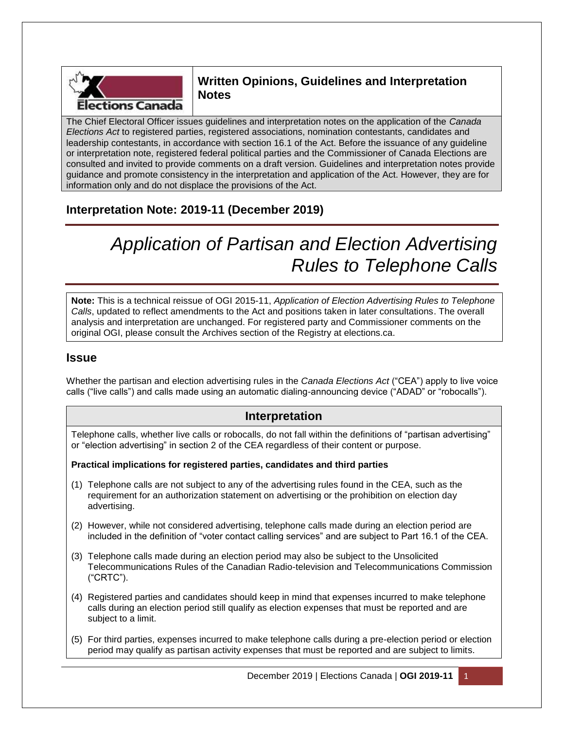

# **Written Opinions, Guidelines and Interpretation Notes**

The Chief Electoral Officer issues guidelines and interpretation notes on the application of the *Canada Elections Act* to registered parties, registered associations, nomination contestants, candidates and leadership contestants, in accordance with section 16.1 of the Act. Before the issuance of any guideline or interpretation note, registered federal political parties and the Commissioner of Canada Elections are consulted and invited to provide comments on a draft version. Guidelines and interpretation notes provide guidance and promote consistency in the interpretation and application of the Act. However, they are for information only and do not displace the provisions of the Act.

# **Interpretation Note: 2019-11 (December 2019)**

# *Application of Partisan and Election Advertising Rules to Telephone Calls*

**Note:** This is a technical reissue of OGI 2015-11, *Application of Election Advertising Rules to Telephone Calls*, updated to reflect amendments to the Act and positions taken in later consultations. The overall analysis and interpretation are unchanged. For registered party and Commissioner comments on the original OGI, please consult the Archives section of the Registry at elections.ca.

### **Issue**

Whether the partisan and election advertising rules in the *Canada Elections Act* ("CEA") apply to live voice calls ("live calls") and calls made using an automatic dialing-announcing device ("ADAD" or "robocalls").

### **Interpretation**

Telephone calls, whether live calls or robocalls, do not fall within the definitions of "partisan advertising" or "election advertising" in section 2 of the CEA regardless of their content or purpose.

**Practical implications for registered parties, candidates and third parties**

- (1) Telephone calls are not subject to any of the advertising rules found in the CEA, such as the requirement for an authorization statement on advertising or the prohibition on election day advertising.
- (2) However, while not considered advertising, telephone calls made during an election period are included in the definition of "voter contact calling services" and are subject to Part 16.1 of the CEA.
- (3) Telephone calls made during an election period may also be subject to the Unsolicited Telecommunications Rules of the Canadian Radio-television and Telecommunications Commission ("CRTC").
- (4) Registered parties and candidates should keep in mind that expenses incurred to make telephone calls during an election period still qualify as election expenses that must be reported and are subject to a limit.
- (5) For third parties, expenses incurred to make telephone calls during a pre-election period or election period may qualify as partisan activity expenses that must be reported and are subject to limits.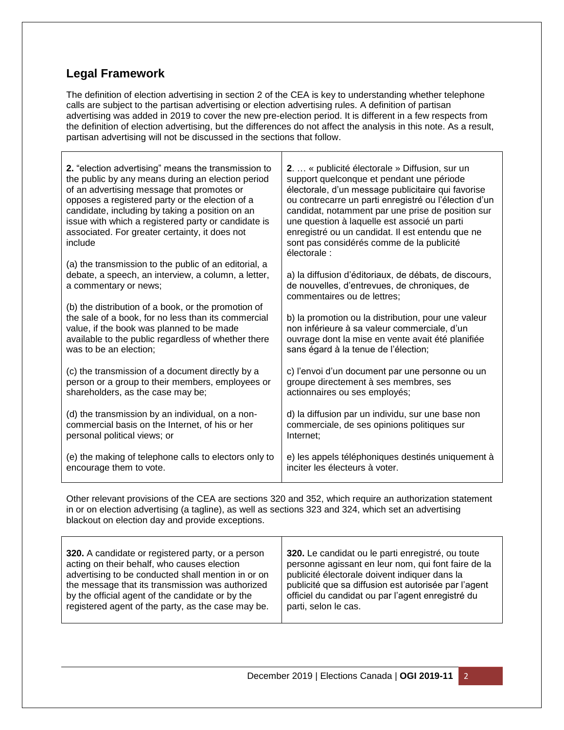# **Legal Framework**

The definition of election advertising in section 2 of the CEA is key to understanding whether telephone calls are subject to the partisan advertising or election advertising rules. A definition of partisan advertising was added in 2019 to cover the new pre-election period. It is different in a few respects from the definition of election advertising, but the differences do not affect the analysis in this note. As a result, partisan advertising will not be discussed in the sections that follow.

| 2. "election advertising" means the transmission to<br>the public by any means during an election period<br>of an advertising message that promotes or<br>opposes a registered party or the election of a<br>candidate, including by taking a position on an<br>issue with which a registered party or candidate is<br>associated. For greater certainty, it does not<br>include | 2.  « publicité électorale » Diffusion, sur un<br>support quelconque et pendant une période<br>électorale, d'un message publicitaire qui favorise<br>ou contrecarre un parti enregistré ou l'élection d'un<br>candidat, notamment par une prise de position sur<br>une question à laquelle est associé un parti<br>enregistré ou un candidat. Il est entendu que ne<br>sont pas considérés comme de la publicité<br>électorale : |
|----------------------------------------------------------------------------------------------------------------------------------------------------------------------------------------------------------------------------------------------------------------------------------------------------------------------------------------------------------------------------------|----------------------------------------------------------------------------------------------------------------------------------------------------------------------------------------------------------------------------------------------------------------------------------------------------------------------------------------------------------------------------------------------------------------------------------|
| (a) the transmission to the public of an editorial, a                                                                                                                                                                                                                                                                                                                            | a) la diffusion d'éditoriaux, de débats, de discours,                                                                                                                                                                                                                                                                                                                                                                            |
| debate, a speech, an interview, a column, a letter,                                                                                                                                                                                                                                                                                                                              | de nouvelles, d'entrevues, de chroniques, de                                                                                                                                                                                                                                                                                                                                                                                     |
| a commentary or news;                                                                                                                                                                                                                                                                                                                                                            | commentaires ou de lettres;                                                                                                                                                                                                                                                                                                                                                                                                      |
| (b) the distribution of a book, or the promotion of<br>the sale of a book, for no less than its commercial<br>value, if the book was planned to be made<br>available to the public regardless of whether there<br>was to be an election;                                                                                                                                         | b) la promotion ou la distribution, pour une valeur<br>non inférieure à sa valeur commerciale, d'un<br>ouvrage dont la mise en vente avait été planifiée<br>sans égard à la tenue de l'élection;                                                                                                                                                                                                                                 |
| (c) the transmission of a document directly by a                                                                                                                                                                                                                                                                                                                                 | c) l'envoi d'un document par une personne ou un                                                                                                                                                                                                                                                                                                                                                                                  |
| person or a group to their members, employees or                                                                                                                                                                                                                                                                                                                                 | groupe directement à ses membres, ses                                                                                                                                                                                                                                                                                                                                                                                            |
| shareholders, as the case may be;                                                                                                                                                                                                                                                                                                                                                | actionnaires ou ses employés;                                                                                                                                                                                                                                                                                                                                                                                                    |
| (d) the transmission by an individual, on a non-                                                                                                                                                                                                                                                                                                                                 | d) la diffusion par un individu, sur une base non                                                                                                                                                                                                                                                                                                                                                                                |
| commercial basis on the Internet, of his or her                                                                                                                                                                                                                                                                                                                                  | commerciale, de ses opinions politiques sur                                                                                                                                                                                                                                                                                                                                                                                      |
| personal political views; or                                                                                                                                                                                                                                                                                                                                                     | Internet;                                                                                                                                                                                                                                                                                                                                                                                                                        |
| (e) the making of telephone calls to electors only to                                                                                                                                                                                                                                                                                                                            | e) les appels téléphoniques destinés uniquement à                                                                                                                                                                                                                                                                                                                                                                                |
| encourage them to vote.                                                                                                                                                                                                                                                                                                                                                          | inciter les électeurs à voter.                                                                                                                                                                                                                                                                                                                                                                                                   |

Other relevant provisions of the CEA are sections 320 and 352, which require an authorization statement in or on election advertising (a tagline), as well as sections 323 and 324, which set an advertising blackout on election day and provide exceptions.

| 320. A candidate or registered party, or a person  | 320. Le candidat ou le parti enregistré, ou toute    |
|----------------------------------------------------|------------------------------------------------------|
| acting on their behalf, who causes election        | personne agissant en leur nom, qui font faire de la  |
| advertising to be conducted shall mention in or on | publicité électorale doivent indiquer dans la        |
| the message that its transmission was authorized   | publicité que sa diffusion est autorisée par l'agent |
| by the official agent of the candidate or by the   | officiel du candidat ou par l'agent enregistré du    |
| registered agent of the party, as the case may be. | parti, selon le cas.                                 |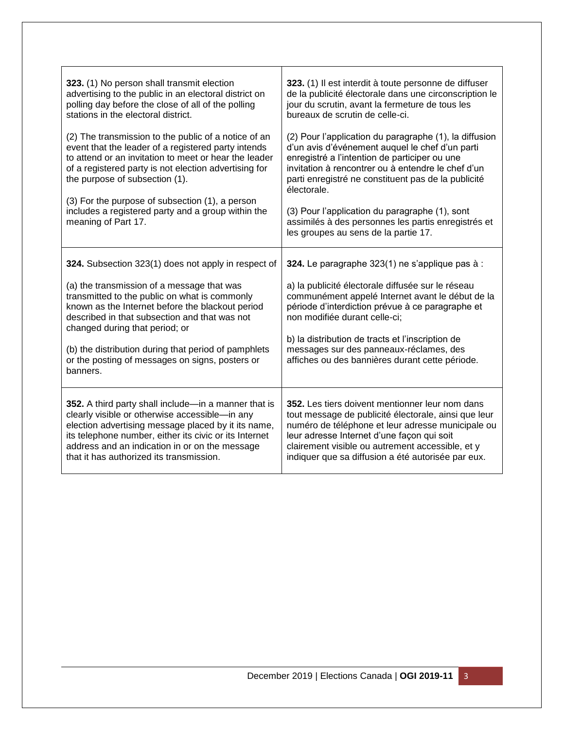| 323. (1) No person shall transmit election                                                                                                                                                                                                                                                                                                                                                                       | 323. (1) Il est interdit à toute personne de diffuser                                                                                                                                                                                                                                                                                                                                                                                   |
|------------------------------------------------------------------------------------------------------------------------------------------------------------------------------------------------------------------------------------------------------------------------------------------------------------------------------------------------------------------------------------------------------------------|-----------------------------------------------------------------------------------------------------------------------------------------------------------------------------------------------------------------------------------------------------------------------------------------------------------------------------------------------------------------------------------------------------------------------------------------|
| advertising to the public in an electoral district on                                                                                                                                                                                                                                                                                                                                                            | de la publicité électorale dans une circonscription le                                                                                                                                                                                                                                                                                                                                                                                  |
| polling day before the close of all of the polling                                                                                                                                                                                                                                                                                                                                                               | jour du scrutin, avant la fermeture de tous les                                                                                                                                                                                                                                                                                                                                                                                         |
| stations in the electoral district.                                                                                                                                                                                                                                                                                                                                                                              | bureaux de scrutin de celle-ci.                                                                                                                                                                                                                                                                                                                                                                                                         |
| (2) The transmission to the public of a notice of an<br>event that the leader of a registered party intends<br>to attend or an invitation to meet or hear the leader<br>of a registered party is not election advertising for<br>the purpose of subsection (1).<br>(3) For the purpose of subsection (1), a person<br>includes a registered party and a group within the<br>meaning of Part 17.                  | (2) Pour l'application du paragraphe (1), la diffusion<br>d'un avis d'événement auquel le chef d'un parti<br>enregistré a l'intention de participer ou une<br>invitation à rencontrer ou à entendre le chef d'un<br>parti enregistré ne constituent pas de la publicité<br>électorale.<br>(3) Pour l'application du paragraphe (1), sont<br>assimilés à des personnes les partis enregistrés et<br>les groupes au sens de la partie 17. |
| 324. Subsection 323(1) does not apply in respect of<br>(a) the transmission of a message that was<br>transmitted to the public on what is commonly<br>known as the Internet before the blackout period<br>described in that subsection and that was not<br>changed during that period; or<br>(b) the distribution during that period of pamphlets<br>or the posting of messages on signs, posters or<br>banners. | 324. Le paragraphe 323(1) ne s'applique pas à :<br>a) la publicité électorale diffusée sur le réseau<br>communément appelé Internet avant le début de la<br>période d'interdiction prévue à ce paragraphe et<br>non modifiée durant celle-ci;<br>b) la distribution de tracts et l'inscription de<br>messages sur des panneaux-réclames, des<br>affiches ou des bannières durant cette période.                                         |
| 352. A third party shall include—in a manner that is                                                                                                                                                                                                                                                                                                                                                             | 352. Les tiers doivent mentionner leur nom dans                                                                                                                                                                                                                                                                                                                                                                                         |
| clearly visible or otherwise accessible-in any                                                                                                                                                                                                                                                                                                                                                                   | tout message de publicité électorale, ainsi que leur                                                                                                                                                                                                                                                                                                                                                                                    |
| election advertising message placed by it its name,                                                                                                                                                                                                                                                                                                                                                              | numéro de téléphone et leur adresse municipale ou                                                                                                                                                                                                                                                                                                                                                                                       |
| its telephone number, either its civic or its Internet                                                                                                                                                                                                                                                                                                                                                           | leur adresse Internet d'une façon qui soit                                                                                                                                                                                                                                                                                                                                                                                              |
| address and an indication in or on the message                                                                                                                                                                                                                                                                                                                                                                   | clairement visible ou autrement accessible, et y                                                                                                                                                                                                                                                                                                                                                                                        |
| that it has authorized its transmission.                                                                                                                                                                                                                                                                                                                                                                         | indiquer que sa diffusion a été autorisée par eux.                                                                                                                                                                                                                                                                                                                                                                                      |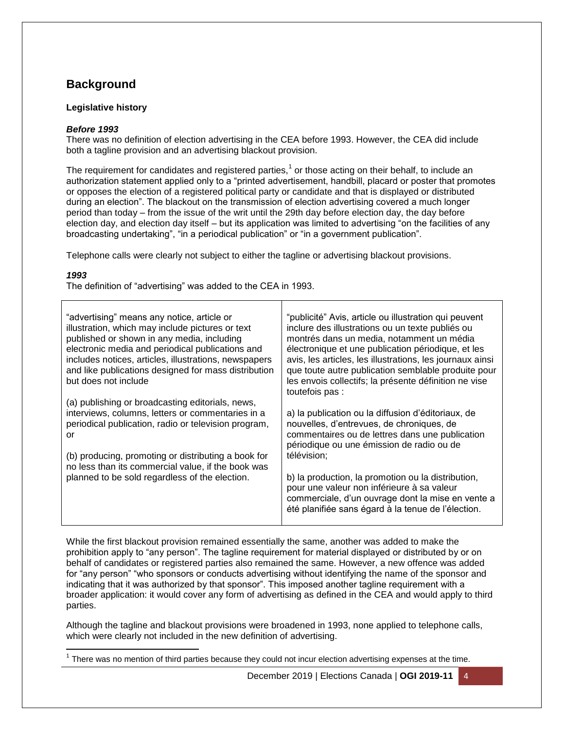# **Background**

#### **Legislative history**

#### *Before 1993*

There was no definition of election advertising in the CEA before 1993. However, the CEA did include both a tagline provision and an advertising blackout provision.

The requirement for candidates and registered parties,<sup>1</sup> or those acting on their behalf, to include an authorization statement applied only to a "printed advertisement, handbill, placard or poster that promotes or opposes the election of a registered political party or candidate and that is displayed or distributed during an election". The blackout on the transmission of election advertising covered a much longer period than today – from the issue of the writ until the 29th day before election day, the day before election day, and election day itself – but its application was limited to advertising "on the facilities of any broadcasting undertaking", "in a periodical publication" or "in a government publication".

Telephone calls were clearly not subject to either the tagline or advertising blackout provisions.

#### *1993*

The definition of "advertising" was added to the CEA in 1993.

| "advertising" means any notice, article or<br>illustration, which may include pictures or text<br>published or shown in any media, including<br>electronic media and periodical publications and<br>includes notices, articles, illustrations, newspapers<br>and like publications designed for mass distribution<br>but does not include | "publicité" Avis, article ou illustration qui peuvent<br>inclure des illustrations ou un texte publiés ou<br>montrés dans un media, notamment un média<br>électronique et une publication périodique, et les<br>avis, les articles, les illustrations, les journaux ainsi<br>que toute autre publication semblable produite pour<br>les envois collectifs; la présente définition ne vise<br>toutefois pas :                  |
|-------------------------------------------------------------------------------------------------------------------------------------------------------------------------------------------------------------------------------------------------------------------------------------------------------------------------------------------|-------------------------------------------------------------------------------------------------------------------------------------------------------------------------------------------------------------------------------------------------------------------------------------------------------------------------------------------------------------------------------------------------------------------------------|
| (a) publishing or broadcasting editorials, news,<br>interviews, columns, letters or commentaries in a<br>periodical publication, radio or television program,<br>or<br>(b) producing, promoting or distributing a book for<br>no less than its commercial value, if the book was<br>planned to be sold regardless of the election.        | a) la publication ou la diffusion d'éditoriaux, de<br>nouvelles, d'entrevues, de chroniques, de<br>commentaires ou de lettres dans une publication<br>périodique ou une émission de radio ou de<br>télévision;<br>b) la production, la promotion ou la distribution,<br>pour une valeur non inférieure à sa valeur<br>commerciale, d'un ouvrage dont la mise en vente a<br>été planifiée sans égard à la tenue de l'élection. |

While the first blackout provision remained essentially the same, another was added to make the prohibition apply to "any person". The tagline requirement for material displayed or distributed by or on behalf of candidates or registered parties also remained the same. However, a new offence was added for "any person" "who sponsors or conducts advertising without identifying the name of the sponsor and indicating that it was authorized by that sponsor". This imposed another tagline requirement with a broader application: it would cover any form of advertising as defined in the CEA and would apply to third parties.

Although the tagline and blackout provisions were broadened in 1993, none applied to telephone calls, which were clearly not included in the new definition of advertising.

 $\overline{\phantom{a}}$ 1 There was no mention of third parties because they could not incur election advertising expenses at the time.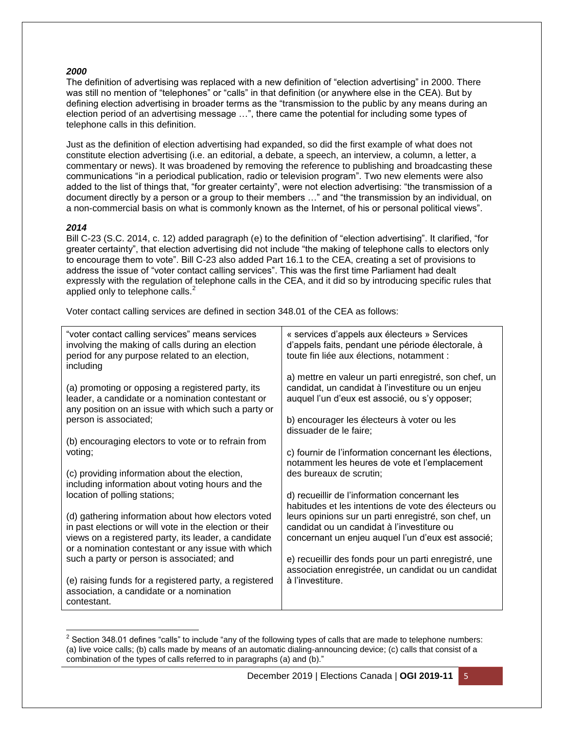#### *2000*

The definition of advertising was replaced with a new definition of "election advertising" in 2000. There was still no mention of "telephones" or "calls" in that definition (or anywhere else in the CEA). But by defining election advertising in broader terms as the "transmission to the public by any means during an election period of an advertising message …", there came the potential for including some types of telephone calls in this definition.

Just as the definition of election advertising had expanded, so did the first example of what does not constitute election advertising (i.e. an editorial, a debate, a speech, an interview, a column, a letter, a commentary or news). It was broadened by removing the reference to publishing and broadcasting these communications "in a periodical publication, radio or television program". Two new elements were also added to the list of things that, "for greater certainty", were not election advertising: "the transmission of a document directly by a person or a group to their members …" and "the transmission by an individual, on a non-commercial basis on what is commonly known as the Internet, of his or personal political views".

#### *2014*

l

Bill C-23 (S.C. 2014, c. 12) added paragraph (e) to the definition of "election advertising". It clarified, "for greater certainty", that election advertising did not include "the making of telephone calls to electors only to encourage them to vote". Bill C-23 also added Part 16.1 to the CEA, creating a set of provisions to address the issue of "voter contact calling services". This was the first time Parliament had dealt expressly with the regulation of telephone calls in the CEA, and it did so by introducing specific rules that applied only to telephone calls.<sup>2</sup>

Voter contact calling services are defined in section 348.01 of the CEA as follows:

| "voter contact calling services" means services<br>involving the making of calls during an election<br>period for any purpose related to an election,<br>including | « services d'appels aux électeurs » Services<br>d'appels faits, pendant une période électorale, à<br>toute fin liée aux élections, notamment :               |
|--------------------------------------------------------------------------------------------------------------------------------------------------------------------|--------------------------------------------------------------------------------------------------------------------------------------------------------------|
| (a) promoting or opposing a registered party, its<br>leader, a candidate or a nomination contestant or<br>any position on an issue with which such a party or      | a) mettre en valeur un parti enregistré, son chef, un<br>candidat, un candidat à l'investiture ou un enjeu<br>auquel l'un d'eux est associé, ou s'y opposer; |
| person is associated;                                                                                                                                              | b) encourager les électeurs à voter ou les<br>dissuader de le faire;                                                                                         |
| (b) encouraging electors to vote or to refrain from                                                                                                                |                                                                                                                                                              |
| voting;                                                                                                                                                            | c) fournir de l'information concernant les élections,<br>notamment les heures de vote et l'emplacement                                                       |
| (c) providing information about the election,                                                                                                                      | des bureaux de scrutin;                                                                                                                                      |
| including information about voting hours and the<br>location of polling stations;                                                                                  | d) recueillir de l'information concernant les                                                                                                                |
|                                                                                                                                                                    | habitudes et les intentions de vote des électeurs ou                                                                                                         |
| (d) gathering information about how electors voted<br>in past elections or will vote in the election or their                                                      | leurs opinions sur un parti enregistré, son chef, un<br>candidat ou un candidat à l'investiture ou                                                           |
| views on a registered party, its leader, a candidate<br>or a nomination contestant or any issue with which                                                         | concernant un enjeu auquel l'un d'eux est associé;                                                                                                           |
| such a party or person is associated; and                                                                                                                          | e) recueillir des fonds pour un parti enregistré, une                                                                                                        |
| (e) raising funds for a registered party, a registered<br>association, a candidate or a nomination<br>contestant.                                                  | association enregistrée, un candidat ou un candidat<br>à l'investiture.                                                                                      |

 $2$  Section 348.01 defines "calls" to include "any of the following types of calls that are made to telephone numbers: (a) live voice calls; (b) calls made by means of an automatic dialing-announcing device; (c) calls that consist of a combination of the types of calls referred to in paragraphs (a) and (b)."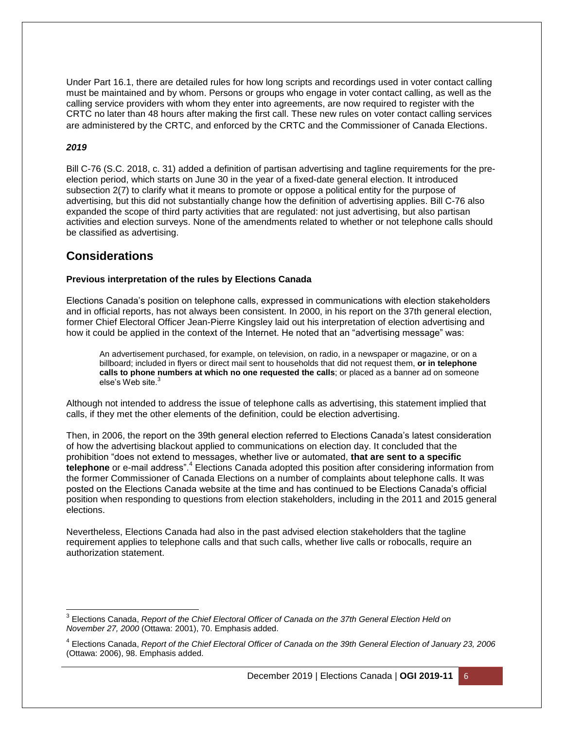Under Part 16.1, there are detailed rules for how long scripts and recordings used in voter contact calling must be maintained and by whom. Persons or groups who engage in voter contact calling, as well as the calling service providers with whom they enter into agreements, are now required to register with the CRTC no later than 48 hours after making the first call. These new rules on voter contact calling services are administered by the CRTC, and enforced by the CRTC and the Commissioner of Canada Elections.

#### *2019*

Bill C-76 (S.C. 2018, c. 31) added a definition of partisan advertising and tagline requirements for the preelection period, which starts on June 30 in the year of a fixed-date general election. It introduced subsection 2(7) to clarify what it means to promote or oppose a political entity for the purpose of advertising, but this did not substantially change how the definition of advertising applies. Bill C-76 also expanded the scope of third party activities that are regulated: not just advertising, but also partisan activities and election surveys. None of the amendments related to whether or not telephone calls should be classified as advertising.

### **Considerations**

#### **Previous interpretation of the rules by Elections Canada**

Elections Canada's position on telephone calls, expressed in communications with election stakeholders and in official reports, has not always been consistent. In 2000, in his report on the 37th general election, former Chief Electoral Officer Jean-Pierre Kingsley laid out his interpretation of election advertising and how it could be applied in the context of the Internet. He noted that an "advertising message" was:

An advertisement purchased, for example, on television, on radio, in a newspaper or magazine, or on a billboard; included in flyers or direct mail sent to households that did not request them, **or in telephone calls to phone numbers at which no one requested the calls**; or placed as a banner ad on someone else's Web site.<sup>3</sup>

Although not intended to address the issue of telephone calls as advertising, this statement implied that calls, if they met the other elements of the definition, could be election advertising.

Then, in 2006, the report on the 39th general election referred to Elections Canada's latest consideration of how the advertising blackout applied to communications on election day. It concluded that the prohibition "does not extend to messages, whether live or automated, **that are sent to a specific**  telephone or e-mail address".<sup>4</sup> Elections Canada adopted this position after considering information from the former Commissioner of Canada Elections on a number of complaints about telephone calls. It was posted on the Elections Canada website at the time and has continued to be Elections Canada's official position when responding to questions from election stakeholders, including in the 2011 and 2015 general elections.

Nevertheless, Elections Canada had also in the past advised election stakeholders that the tagline requirement applies to telephone calls and that such calls, whether live calls or robocalls, require an authorization statement.

 $\overline{\phantom{a}}$ <sup>3</sup> Elections Canada, *Report of the Chief Electoral Officer of Canada on the 37th General Election Held on November 27, 2000* (Ottawa: 2001), 70. Emphasis added.

<sup>4</sup> Elections Canada, *Report of the Chief Electoral Officer of Canada on the 39th General Election of January 23, 2006* (Ottawa: 2006), 98. Emphasis added.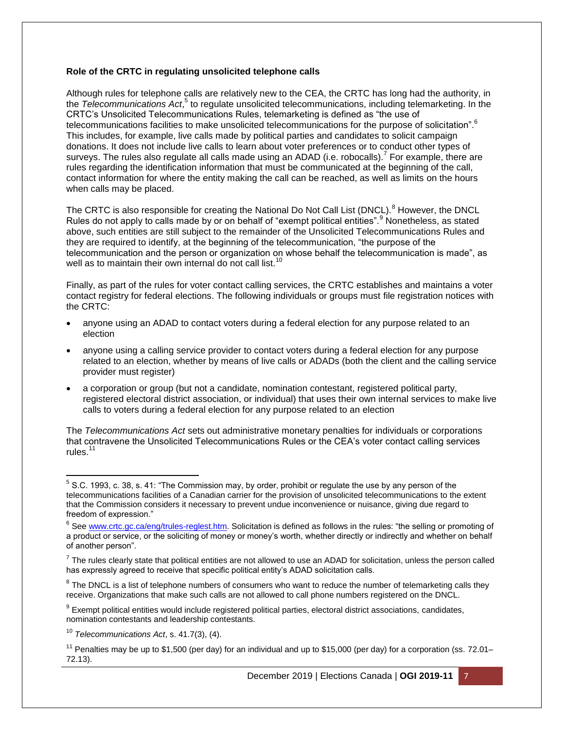#### **Role of the CRTC in regulating unsolicited telephone calls**

Although rules for telephone calls are relatively new to the CEA, the CRTC has long had the authority, in the Telecommunications Act,<sup>5</sup> to regulate unsolicited telecommunications, including telemarketing. In the CRTC's Unsolicited Telecommunications Rules, telemarketing is defined as "the use of telecommunications facilities to make unsolicited telecommunications for the purpose of solicitation".<sup>6</sup> This includes, for example, live calls made by political parties and candidates to solicit campaign donations. It does not include live calls to learn about voter preferences or to conduct other types of surveys. The rules also regulate all calls made using an ADAD (i.e. robocalls).<sup>7</sup> For example, there are rules regarding the identification information that must be communicated at the beginning of the call, contact information for where the entity making the call can be reached, as well as limits on the hours when calls may be placed.

The CRTC is also responsible for creating the National Do Not Call List (DNCL).<sup>8</sup> However, the DNCL Rules do not apply to calls made by or on behalf of "exempt political entities".<sup>9</sup> Nonetheless, as stated above, such entities are still subject to the remainder of the Unsolicited Telecommunications Rules and they are required to identify, at the beginning of the telecommunication, "the purpose of the telecommunication and the person or organization on whose behalf the telecommunication is made", as well as to maintain their own internal do not call list.<sup>10</sup>

Finally, as part of the rules for voter contact calling services, the CRTC establishes and maintains a voter contact registry for federal elections. The following individuals or groups must file registration notices with the CRTC:

- anyone using an ADAD to contact voters during a federal election for any purpose related to an election
- anyone using a calling service provider to contact voters during a federal election for any purpose related to an election, whether by means of live calls or ADADs (both the client and the calling service provider must register)
- a corporation or group (but not a candidate, nomination contestant, registered political party, registered electoral district association, or individual) that uses their own internal services to make live calls to voters during a federal election for any purpose related to an election

The *Telecommunications Act* sets out administrative monetary penalties for individuals or corporations that contravene the Unsolicited Telecommunications Rules or the CEA's voter contact calling services rules $11$ 

 5 S.C. 1993, c. 38, s. 41: "The Commission may, by order, prohibit or regulate the use by any person of the telecommunications facilities of a Canadian carrier for the provision of unsolicited telecommunications to the extent that the Commission considers it necessary to prevent undue inconvenience or nuisance, giving due regard to freedom of expression."

<sup>&</sup>lt;sup>6</sup> See [www.crtc.gc.ca/eng/trules-reglest.htm.](http://www.crtc.gc.ca/eng/trules-reglest.htm) Solicitation is defined as follows in the rules: "the selling or promoting of a product or service, or the soliciting of money or money's worth, whether directly or indirectly and whether on behalf of another person".

 $^7$  The rules clearly state that political entities are not allowed to use an ADAD for solicitation, unless the person called has expressly agreed to receive that specific political entity's ADAD solicitation calls.

 $8$  The DNCL is a list of telephone numbers of consumers who want to reduce the number of telemarketing calls they receive. Organizations that make such calls are not allowed to call phone numbers registered on the DNCL.

 $9$  Exempt political entities would include registered political parties, electoral district associations, candidates, nomination contestants and leadership contestants.

<sup>10</sup> *Telecommunications Act*, s. 41.7(3), (4).

<sup>&</sup>lt;sup>11</sup> Penalties may be up to \$1,500 (per day) for an individual and up to \$15,000 (per day) for a corporation (ss. 72.01– 72.13).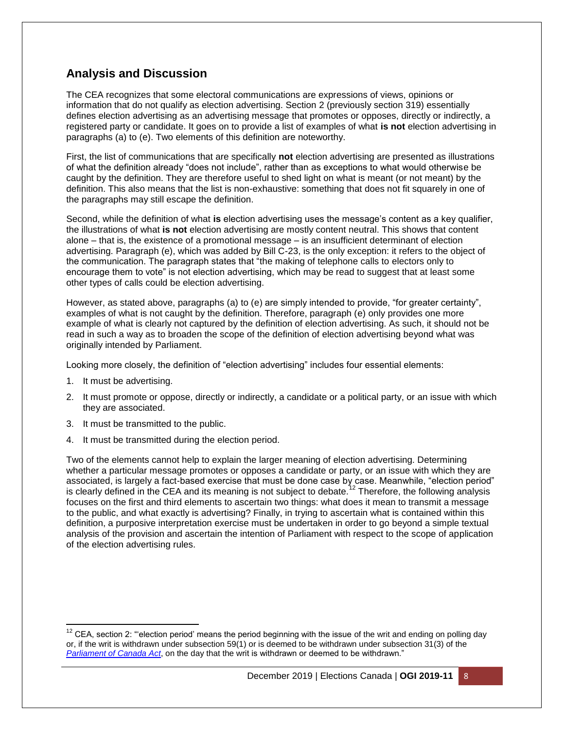# **Analysis and Discussion**

The CEA recognizes that some electoral communications are expressions of views, opinions or information that do not qualify as election advertising. Section 2 (previously section 319) essentially defines election advertising as an advertising message that promotes or opposes, directly or indirectly, a registered party or candidate. It goes on to provide a list of examples of what **is not** election advertising in paragraphs (a) to (e). Two elements of this definition are noteworthy.

First, the list of communications that are specifically **not** election advertising are presented as illustrations of what the definition already "does not include", rather than as exceptions to what would otherwise be caught by the definition. They are therefore useful to shed light on what is meant (or not meant) by the definition. This also means that the list is non-exhaustive: something that does not fit squarely in one of the paragraphs may still escape the definition.

Second, while the definition of what **is** election advertising uses the message's content as a key qualifier, the illustrations of what **is not** election advertising are mostly content neutral. This shows that content alone – that is, the existence of a promotional message – is an insufficient determinant of election advertising. Paragraph (e), which was added by Bill C-23, is the only exception: it refers to the object of the communication. The paragraph states that "the making of telephone calls to electors only to encourage them to vote" is not election advertising, which may be read to suggest that at least some other types of calls could be election advertising.

However, as stated above, paragraphs (a) to (e) are simply intended to provide, "for greater certainty", examples of what is not caught by the definition. Therefore, paragraph (e) only provides one more example of what is clearly not captured by the definition of election advertising. As such, it should not be read in such a way as to broaden the scope of the definition of election advertising beyond what was originally intended by Parliament.

Looking more closely, the definition of "election advertising" includes four essential elements:

1. It must be advertising.

l

- 2. It must promote or oppose, directly or indirectly, a candidate or a political party, or an issue with which they are associated.
- 3. It must be transmitted to the public.
- 4. It must be transmitted during the election period.

Two of the elements cannot help to explain the larger meaning of election advertising. Determining whether a particular message promotes or opposes a candidate or party, or an issue with which they are associated, is largely a fact-based exercise that must be done case by case. Meanwhile, "election period" is clearly defined in the CEA and its meaning is not subject to debate.<sup>12</sup> Therefore, the following analysis is focuses on the first and third elements to ascertain two things: what does it mean to transmit a message to the public, and what exactly is advertising? Finally, in trying to ascertain what is contained within this definition, a purposive interpretation exercise must be undertaken in order to go beyond a simple textual analysis of the provision and ascertain the intention of Parliament with respect to the scope of application of the election advertising rules.

 $12$  CEA, section 2: "election period' means the period beginning with the issue of the writ and ending on polling day or, if the writ is withdrawn under subsection 59(1) or is deemed to be withdrawn under subsection 31(3) of the *[Parliament of Canada Act](http://laws-lois.justice.gc.ca/eng/acts/P-1)*, on the day that the writ is withdrawn or deemed to be withdrawn."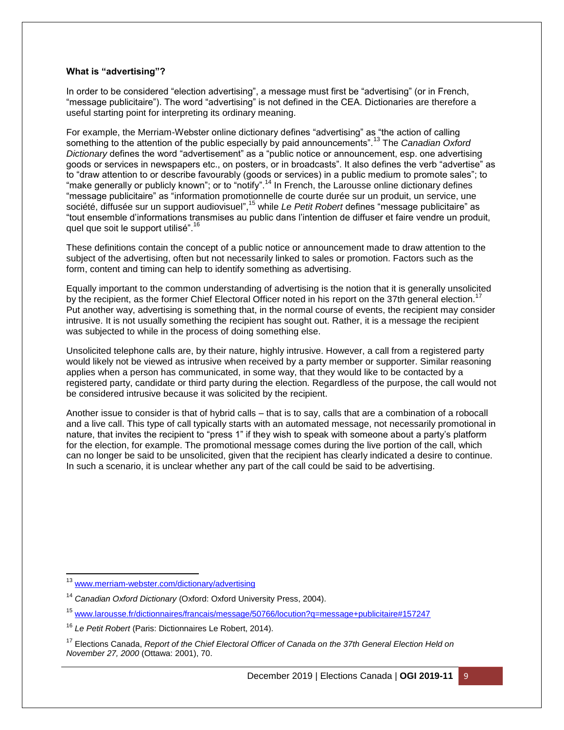#### **What is "advertising"?**

In order to be considered "election advertising", a message must first be "advertising" (or in French, "message publicitaire"). The word "advertising" is not defined in the CEA. Dictionaries are therefore a useful starting point for interpreting its ordinary meaning.

For example, the Merriam-Webster online dictionary defines "advertising" as "the action of calling something to the attention of the public especially by paid announcements".<sup>13</sup> The *Canadian Oxford Dictionary* defines the word "advertisement" as a "public notice or announcement, esp. one advertising goods or services in newspapers etc., on posters, or in broadcasts". It also defines the verb "advertise" as to "draw attention to or describe favourably (goods or services) in a public medium to promote sales"; to "make generally or publicly known"; or to "notify".<sup>14</sup> In French, the Larousse online dictionary defines "message publicitaire" as "information promotionnelle de courte durée sur un produit, un service, une société, diffusée sur un support audiovisuel",<sup>15</sup> while *Le Petit Robert* defines "message publicitaire" as "tout ensemble d'informations transmises au public dans l'intention de diffuser et faire vendre un produit, quel que soit le support utilisé".<sup>16</sup>

These definitions contain the concept of a public notice or announcement made to draw attention to the subject of the advertising, often but not necessarily linked to sales or promotion. Factors such as the form, content and timing can help to identify something as advertising.

Equally important to the common understanding of advertising is the notion that it is generally unsolicited by the recipient, as the former Chief Electoral Officer noted in his report on the 37th general election.<sup>17</sup> Put another way, advertising is something that, in the normal course of events, the recipient may consider intrusive. It is not usually something the recipient has sought out. Rather, it is a message the recipient was subjected to while in the process of doing something else.

Unsolicited telephone calls are, by their nature, highly intrusive. However, a call from a registered party would likely not be viewed as intrusive when received by a party member or supporter. Similar reasoning applies when a person has communicated, in some way, that they would like to be contacted by a registered party, candidate or third party during the election. Regardless of the purpose, the call would not be considered intrusive because it was solicited by the recipient.

Another issue to consider is that of hybrid calls – that is to say, calls that are a combination of a robocall and a live call. This type of call typically starts with an automated message, not necessarily promotional in nature, that invites the recipient to "press 1" if they wish to speak with someone about a party's platform for the election, for example. The promotional message comes during the live portion of the call, which can no longer be said to be unsolicited, given that the recipient has clearly indicated a desire to continue. In such a scenario, it is unclear whether any part of the call could be said to be advertising.

 $\overline{\phantom{a}}$ <sup>13</sup> [www.merriam-webster.com/dictionary/advertising](http://www.merriam-webster.com/dictionary/advertising)

<sup>14</sup> *Canadian Oxford Dictionary* (Oxford: Oxford University Press, 2004).

<sup>15</sup> [www.larousse.fr/dictionnaires/francais/message/50766/locution?q=message+publicitaire#157247](http://www.larousse.fr/dictionnaires/francais/message/50766/locution?q=message+publicitaire#157247)

<sup>16</sup> *Le Petit Robert* (Paris: Dictionnaires Le Robert, 2014).

<sup>&</sup>lt;sup>17</sup> Elections Canada, *Report of the Chief Electoral Officer of Canada on the 37th General Election Held on November 27, 2000* (Ottawa: 2001), 70.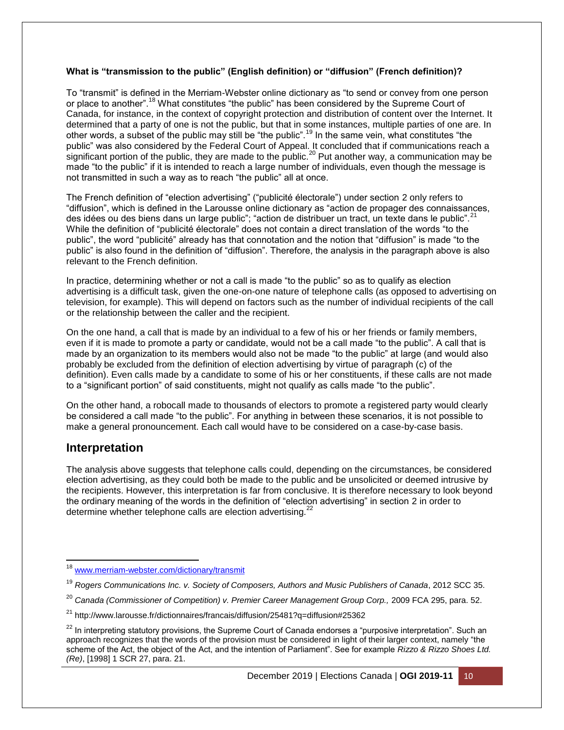#### **What is "transmission to the public" (English definition) or "diffusion" (French definition)?**

To "transmit" is defined in the Merriam-Webster online dictionary as "to send or convey from one person or place to another".<sup>18</sup> What constitutes "the public" has been considered by the Supreme Court of Canada, for instance, in the context of copyright protection and distribution of content over the Internet. It determined that a party of one is not the public, but that in some instances, multiple parties of one are. In other words, a subset of the public may still be "the public".<sup>19</sup> In the same vein, what constitutes "the public" was also considered by the Federal Court of Appeal. It concluded that if communications reach a significant portion of the public, they are made to the public.<sup>20</sup> Put another way, a communication may be made "to the public" if it is intended to reach a large number of individuals, even though the message is not transmitted in such a way as to reach "the public" all at once.

The French definition of "election advertising" ("publicité électorale") under section 2 only refers to "diffusion", which is defined in the Larousse online dictionary as "action de propager des connaissances, des idées ou des biens dans un large public"; "action de distribuer un tract, un texte dans le public". <sup>21</sup> While the definition of "publicité électorale" does not contain a direct translation of the words "to the public", the word "publicité" already has that connotation and the notion that "diffusion" is made "to the public" is also found in the definition of "diffusion". Therefore, the analysis in the paragraph above is also relevant to the French definition.

In practice, determining whether or not a call is made "to the public" so as to qualify as election advertising is a difficult task, given the one-on-one nature of telephone calls (as opposed to advertising on television, for example). This will depend on factors such as the number of individual recipients of the call or the relationship between the caller and the recipient.

On the one hand, a call that is made by an individual to a few of his or her friends or family members, even if it is made to promote a party or candidate, would not be a call made "to the public". A call that is made by an organization to its members would also not be made "to the public" at large (and would also probably be excluded from the definition of election advertising by virtue of paragraph (c) of the definition). Even calls made by a candidate to some of his or her constituents, if these calls are not made to a "significant portion" of said constituents, might not qualify as calls made "to the public".

On the other hand, a robocall made to thousands of electors to promote a registered party would clearly be considered a call made "to the public". For anything in between these scenarios, it is not possible to make a general pronouncement. Each call would have to be considered on a case-by-case basis.

### **Interpretation**

 $\overline{\phantom{a}}$ 

The analysis above suggests that telephone calls could, depending on the circumstances, be considered election advertising, as they could both be made to the public and be unsolicited or deemed intrusive by the recipients. However, this interpretation is far from conclusive. It is therefore necessary to look beyond the ordinary meaning of the words in the definition of "election advertising" in section 2 in order to determine whether telephone calls are election advertising.<sup>22</sup>

<sup>&</sup>lt;sup>18</sup> [www.merriam-webster.com/dictionary/transmit](http://www.merriam-webster.com/dictionary/transmit)

<sup>19</sup> *Rogers Communications Inc. v. Society of Composers, Authors and Music Publishers of Canada*, 2012 SCC 35.

<sup>&</sup>lt;sup>20</sup> Canada (Commissioner of Competition) v. Premier Career Management Group Corp., 2009 FCA 295, para. 52.

<sup>21</sup> http://www.larousse.fr/dictionnaires/francais/diffusion/25481?q=diffusion#25362

 $22$  In interpreting statutory provisions, the Supreme Court of Canada endorses a "purposive interpretation". Such an approach recognizes that the words of the provision must be considered in light of their larger context, namely "the scheme of the Act, the object of the Act, and the intention of Parliament". See for example *Rizzo & Rizzo Shoes Ltd. (Re)*, [1998] 1 SCR 27, para. 21.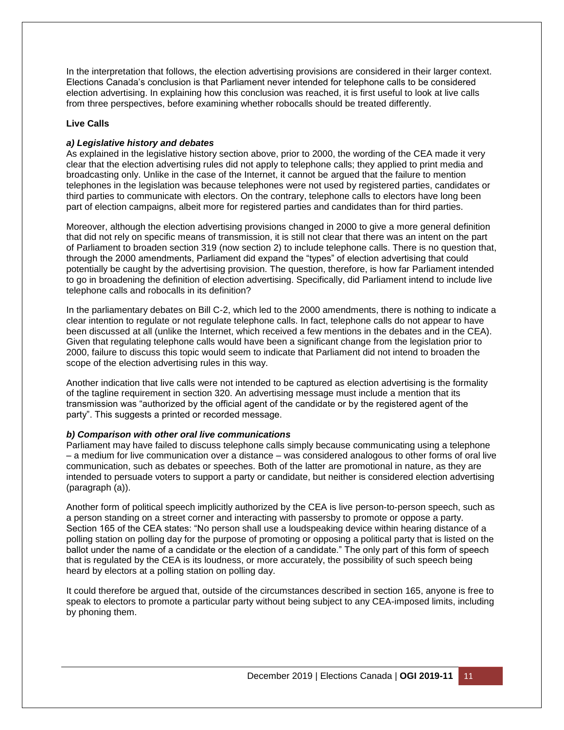In the interpretation that follows, the election advertising provisions are considered in their larger context. Elections Canada's conclusion is that Parliament never intended for telephone calls to be considered election advertising. In explaining how this conclusion was reached, it is first useful to look at live calls from three perspectives, before examining whether robocalls should be treated differently.

#### **Live Calls**

#### *a) Legislative history and debates*

As explained in the legislative history section above, prior to 2000, the wording of the CEA made it very clear that the election advertising rules did not apply to telephone calls; they applied to print media and broadcasting only. Unlike in the case of the Internet, it cannot be argued that the failure to mention telephones in the legislation was because telephones were not used by registered parties, candidates or third parties to communicate with electors. On the contrary, telephone calls to electors have long been part of election campaigns, albeit more for registered parties and candidates than for third parties.

Moreover, although the election advertising provisions changed in 2000 to give a more general definition that did not rely on specific means of transmission, it is still not clear that there was an intent on the part of Parliament to broaden section 319 (now section 2) to include telephone calls. There is no question that, through the 2000 amendments, Parliament did expand the "types" of election advertising that could potentially be caught by the advertising provision. The question, therefore, is how far Parliament intended to go in broadening the definition of election advertising. Specifically, did Parliament intend to include live telephone calls and robocalls in its definition?

In the parliamentary debates on Bill C-2, which led to the 2000 amendments, there is nothing to indicate a clear intention to regulate or not regulate telephone calls. In fact, telephone calls do not appear to have been discussed at all (unlike the Internet, which received a few mentions in the debates and in the CEA). Given that regulating telephone calls would have been a significant change from the legislation prior to 2000, failure to discuss this topic would seem to indicate that Parliament did not intend to broaden the scope of the election advertising rules in this way.

Another indication that live calls were not intended to be captured as election advertising is the formality of the tagline requirement in section 320. An advertising message must include a mention that its transmission was "authorized by the official agent of the candidate or by the registered agent of the party". This suggests a printed or recorded message.

#### *b) Comparison with other oral live communications*

Parliament may have failed to discuss telephone calls simply because communicating using a telephone – a medium for live communication over a distance – was considered analogous to other forms of oral live communication, such as debates or speeches. Both of the latter are promotional in nature, as they are intended to persuade voters to support a party or candidate, but neither is considered election advertising (paragraph (a)).

Another form of political speech implicitly authorized by the CEA is live person-to-person speech, such as a person standing on a street corner and interacting with passersby to promote or oppose a party. Section 165 of the CEA states: "No person shall use a loudspeaking device within hearing distance of a polling station on polling day for the purpose of promoting or opposing a political party that is listed on the ballot under the name of a candidate or the election of a candidate." The only part of this form of speech that is regulated by the CEA is its loudness, or more accurately, the possibility of such speech being heard by electors at a polling station on polling day.

It could therefore be argued that, outside of the circumstances described in section 165, anyone is free to speak to electors to promote a particular party without being subject to any CEA-imposed limits, including by phoning them.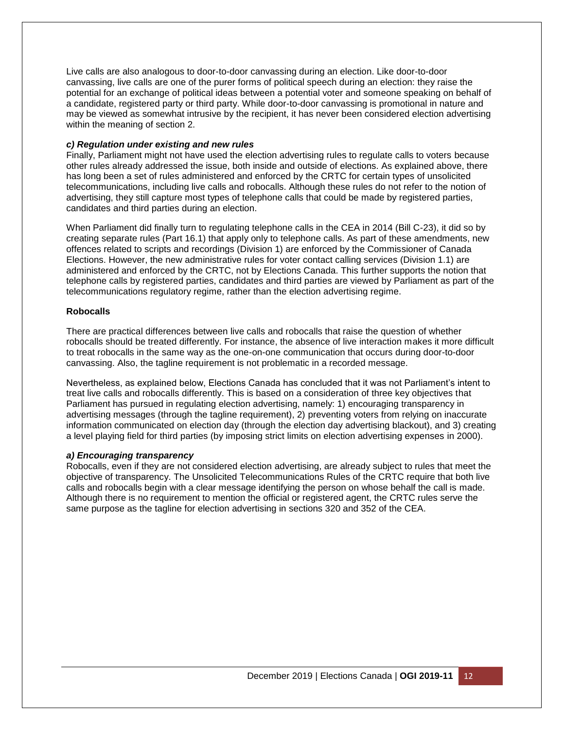Live calls are also analogous to door-to-door canvassing during an election. Like door-to-door canvassing, live calls are one of the purer forms of political speech during an election: they raise the potential for an exchange of political ideas between a potential voter and someone speaking on behalf of a candidate, registered party or third party. While door-to-door canvassing is promotional in nature and may be viewed as somewhat intrusive by the recipient, it has never been considered election advertising within the meaning of section 2.

#### *c) Regulation under existing and new rules*

Finally, Parliament might not have used the election advertising rules to regulate calls to voters because other rules already addressed the issue, both inside and outside of elections. As explained above, there has long been a set of rules administered and enforced by the CRTC for certain types of unsolicited telecommunications, including live calls and robocalls. Although these rules do not refer to the notion of advertising, they still capture most types of telephone calls that could be made by registered parties, candidates and third parties during an election.

When Parliament did finally turn to regulating telephone calls in the CEA in 2014 (Bill C-23), it did so by creating separate rules (Part 16.1) that apply only to telephone calls. As part of these amendments, new offences related to scripts and recordings (Division 1) are enforced by the Commissioner of Canada Elections. However, the new administrative rules for voter contact calling services (Division 1.1) are administered and enforced by the CRTC, not by Elections Canada. This further supports the notion that telephone calls by registered parties, candidates and third parties are viewed by Parliament as part of the telecommunications regulatory regime, rather than the election advertising regime.

#### **Robocalls**

There are practical differences between live calls and robocalls that raise the question of whether robocalls should be treated differently. For instance, the absence of live interaction makes it more difficult to treat robocalls in the same way as the one-on-one communication that occurs during door-to-door canvassing. Also, the tagline requirement is not problematic in a recorded message.

Nevertheless, as explained below, Elections Canada has concluded that it was not Parliament's intent to treat live calls and robocalls differently. This is based on a consideration of three key objectives that Parliament has pursued in regulating election advertising, namely: 1) encouraging transparency in advertising messages (through the tagline requirement), 2) preventing voters from relying on inaccurate information communicated on election day (through the election day advertising blackout), and 3) creating a level playing field for third parties (by imposing strict limits on election advertising expenses in 2000).

#### *a) Encouraging transparency*

Robocalls, even if they are not considered election advertising, are already subject to rules that meet the objective of transparency. The Unsolicited Telecommunications Rules of the CRTC require that both live calls and robocalls begin with a clear message identifying the person on whose behalf the call is made. Although there is no requirement to mention the official or registered agent, the CRTC rules serve the same purpose as the tagline for election advertising in sections 320 and 352 of the CEA.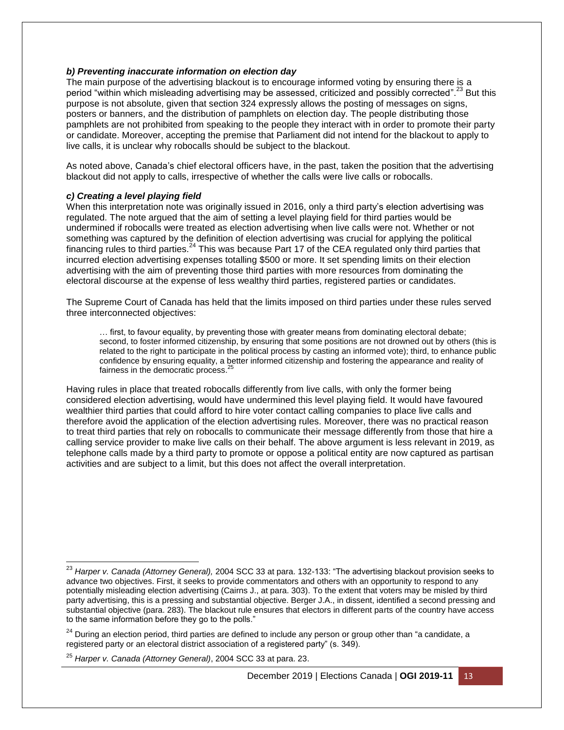#### *b) Preventing inaccurate information on election day*

The main purpose of the advertising blackout is to encourage informed voting by ensuring there is a period "within which misleading advertising may be assessed, criticized and possibly corrected".<sup>23</sup> But this purpose is not absolute, given that section 324 expressly allows the posting of messages on signs, posters or banners, and the distribution of pamphlets on election day. The people distributing those pamphlets are not prohibited from speaking to the people they interact with in order to promote their party or candidate. Moreover, accepting the premise that Parliament did not intend for the blackout to apply to live calls, it is unclear why robocalls should be subject to the blackout.

As noted above, Canada's chief electoral officers have, in the past, taken the position that the advertising blackout did not apply to calls, irrespective of whether the calls were live calls or robocalls.

#### *c) Creating a level playing field*

When this interpretation note was originally issued in 2016, only a third party's election advertising was regulated. The note argued that the aim of setting a level playing field for third parties would be undermined if robocalls were treated as election advertising when live calls were not. Whether or not something was captured by the definition of election advertising was crucial for applying the political financing rules to third parties.<sup>24</sup> This was because Part 17 of the CEA regulated only third parties that incurred election advertising expenses totalling \$500 or more. It set spending limits on their election advertising with the aim of preventing those third parties with more resources from dominating the electoral discourse at the expense of less wealthy third parties, registered parties or candidates.

The Supreme Court of Canada has held that the limits imposed on third parties under these rules served three interconnected objectives:

… first, to favour equality, by preventing those with greater means from dominating electoral debate; second, to foster informed citizenship, by ensuring that some positions are not drowned out by others (this is related to the right to participate in the political process by casting an informed vote); third, to enhance public confidence by ensuring equality, a better informed citizenship and fostering the appearance and reality of fairness in the democratic process.<sup>2</sup>

Having rules in place that treated robocalls differently from live calls, with only the former being considered election advertising, would have undermined this level playing field. It would have favoured wealthier third parties that could afford to hire voter contact calling companies to place live calls and therefore avoid the application of the election advertising rules. Moreover, there was no practical reason to treat third parties that rely on robocalls to communicate their message differently from those that hire a calling service provider to make live calls on their behalf. The above argument is less relevant in 2019, as telephone calls made by a third party to promote or oppose a political entity are now captured as partisan activities and are subject to a limit, but this does not affect the overall interpretation.

<sup>24</sup> During an election period, third parties are defined to include any person or group other than "a candidate, a registered party or an electoral district association of a registered party" (s. 349).

 $\overline{\phantom{a}}$ 

<sup>23</sup> *Harper v. Canada (Attorney General),* 2004 SCC 33 at para. 132-133: "The advertising blackout provision seeks to advance two objectives. First, it seeks to provide commentators and others with an opportunity to respond to any potentially misleading election advertising (Cairns J., at para. 303). To the extent that voters may be misled by third party advertising, this is a pressing and substantial objective. Berger J.A., in dissent, identified a second pressing and substantial objective (para. 283). The blackout rule ensures that electors in different parts of the country have access to the same information before they go to the polls."

<sup>25</sup> *Harper v. Canada (Attorney General)*, 2004 SCC 33 at para. 23.